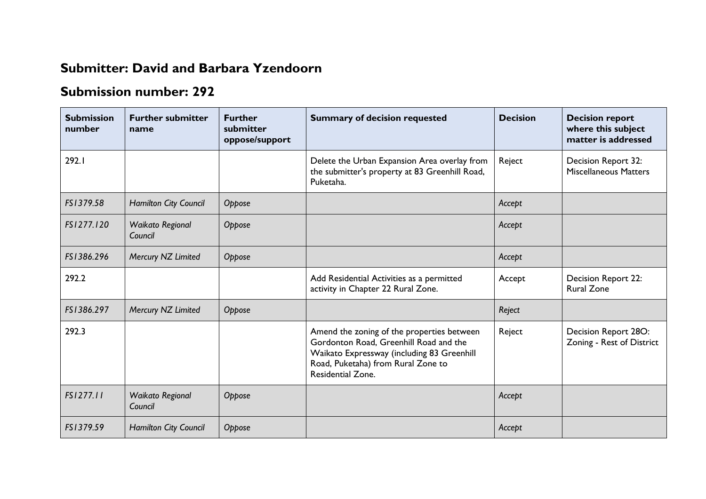## **Submitter: David and Barbara Yzendoorn**

## **Submission number: 292**

| <b>Submission</b><br>number | <b>Further submitter</b><br>name   | <b>Further</b><br>submitter<br>oppose/support | <b>Summary of decision requested</b>                                                                                                                                                          | <b>Decision</b> | <b>Decision report</b><br>where this subject<br>matter is addressed |
|-----------------------------|------------------------------------|-----------------------------------------------|-----------------------------------------------------------------------------------------------------------------------------------------------------------------------------------------------|-----------------|---------------------------------------------------------------------|
| 292.I                       |                                    |                                               | Delete the Urban Expansion Area overlay from<br>the submitter's property at 83 Greenhill Road,<br>Puketaha.                                                                                   | Reject          | Decision Report 32:<br><b>Miscellaneous Matters</b>                 |
| FS1379.58                   | Hamilton City Council              | Oppose                                        |                                                                                                                                                                                               | Accept          |                                                                     |
| FS1277.120                  | Waikato Regional<br>Council        | Oppose                                        |                                                                                                                                                                                               | Accept          |                                                                     |
| FS1386.296                  | Mercury NZ Limited                 | Oppose                                        |                                                                                                                                                                                               | Accept          |                                                                     |
| 292.2                       |                                    |                                               | Add Residential Activities as a permitted<br>activity in Chapter 22 Rural Zone.                                                                                                               | Accept          | Decision Report 22:<br><b>Rural Zone</b>                            |
| FS1386.297                  | Mercury NZ Limited                 | Oppose                                        |                                                                                                                                                                                               | Reject          |                                                                     |
| 292.3                       |                                    |                                               | Amend the zoning of the properties between<br>Gordonton Road, Greenhill Road and the<br>Waikato Expressway (including 83 Greenhill<br>Road, Puketaha) from Rural Zone to<br>Residential Zone. | Reject          | Decision Report 28O:<br>Zoning - Rest of District                   |
| FS1277.11                   | <b>Waikato Regional</b><br>Council | Oppose                                        |                                                                                                                                                                                               | Accept          |                                                                     |
| FS1379.59                   | Hamilton City Council              | Oppose                                        |                                                                                                                                                                                               | Accept          |                                                                     |